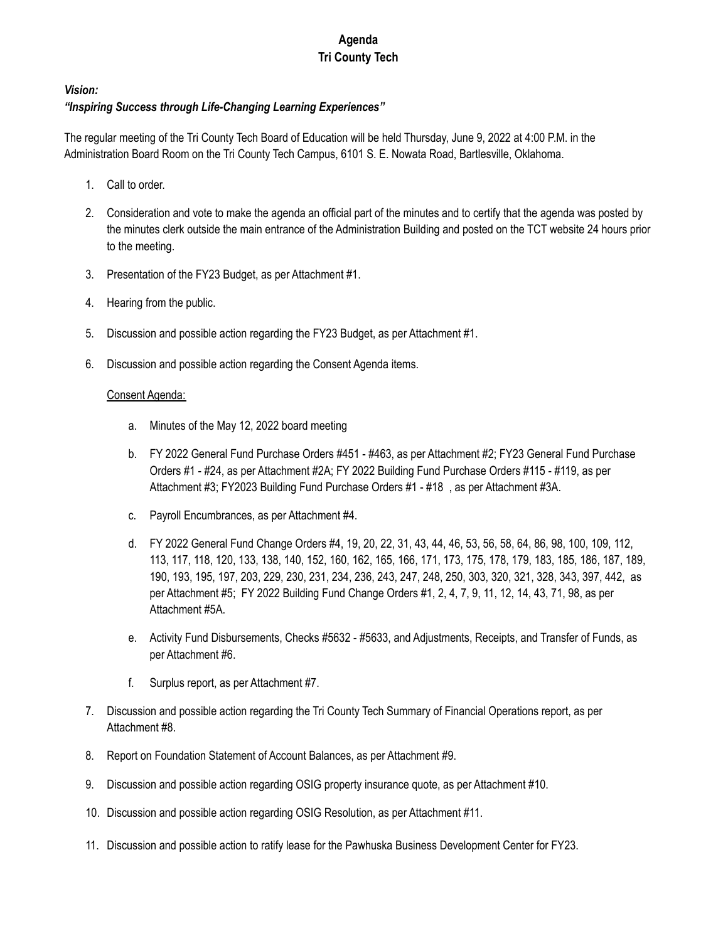## **Agenda Tri County Tech**

## *Vision:*

## *"Inspiring Success through Life-Changing Learning Experiences"*

The regular meeting of the Tri County Tech Board of Education will be held Thursday, June 9, 2022 at 4:00 P.M. in the Administration Board Room on the Tri County Tech Campus, 6101 S. E. Nowata Road, Bartlesville, Oklahoma.

- 1. Call to order.
- 2. Consideration and vote to make the agenda an official part of the minutes and to certify that the agenda was posted by the minutes clerk outside the main entrance of the Administration Building and posted on the TCT website 24 hours prior to the meeting.
- 3. Presentation of the FY23 Budget, as per Attachment #1.
- 4. Hearing from the public.
- 5. Discussion and possible action regarding the FY23 Budget, as per Attachment #1.
- 6. Discussion and possible action regarding the Consent Agenda items.

## Consent Agenda:

- a. Minutes of the May 12, 2022 board meeting
- b. FY 2022 General Fund Purchase Orders #451 #463, as per Attachment #2; FY23 General Fund Purchase Orders #1 - #24, as per Attachment #2A; FY 2022 Building Fund Purchase Orders #115 - #119, as per Attachment #3; FY2023 Building Fund Purchase Orders #1 - #18 , as per Attachment #3A.
- c. Payroll Encumbrances, as per Attachment #4.
- d. FY 2022 General Fund Change Orders #4, 19, 20, 22, 31, 43, 44, 46, 53, 56, 58, 64, 86, 98, 100, 109, 112, 113, 117, 118, 120, 133, 138, 140, 152, 160, 162, 165, 166, 171, 173, 175, 178, 179, 183, 185, 186, 187, 189, 190, 193, 195, 197, 203, 229, 230, 231, 234, 236, 243, 247, 248, 250, 303, 320, 321, 328, 343, 397, 442, as per Attachment #5; FY 2022 Building Fund Change Orders #1, 2, 4, 7, 9, 11, 12, 14, 43, 71, 98, as per Attachment #5A.
- e. Activity Fund Disbursements, Checks #5632 #5633, and Adjustments, Receipts, and Transfer of Funds, as per Attachment #6.
- f. Surplus report, as per Attachment #7.
- 7. Discussion and possible action regarding the Tri County Tech Summary of Financial Operations report, as per Attachment #8.
- 8. Report on Foundation Statement of Account Balances, as per Attachment #9.
- 9. Discussion and possible action regarding OSIG property insurance quote, as per Attachment #10.
- 10. Discussion and possible action regarding OSIG Resolution, as per Attachment #11.
- 11. Discussion and possible action to ratify lease for the Pawhuska Business Development Center for FY23.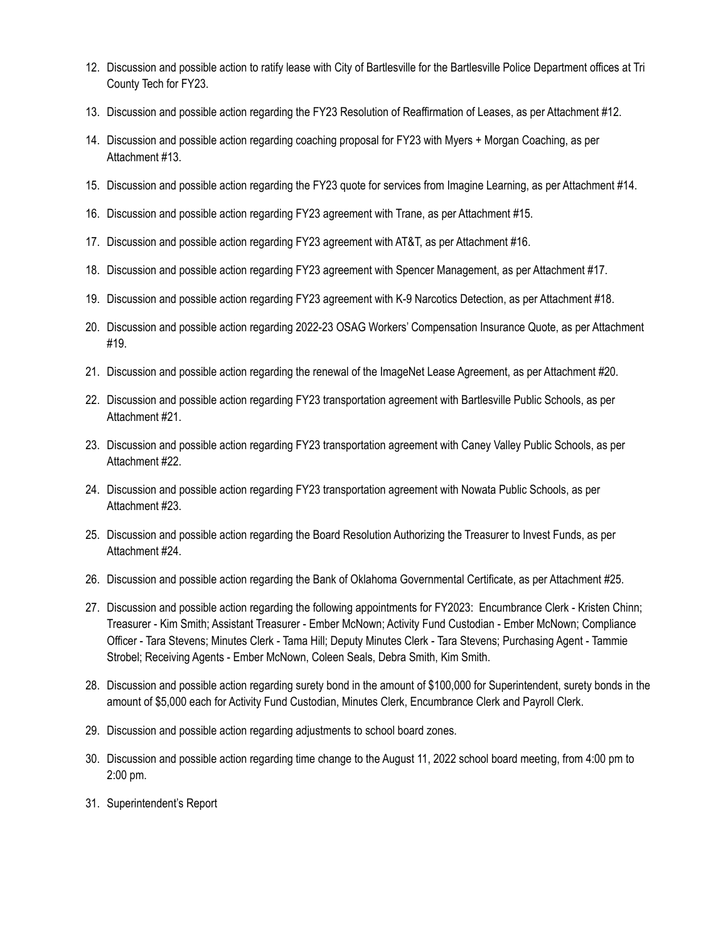- 12. Discussion and possible action to ratify lease with City of Bartlesville for the Bartlesville Police Department offices at Tri County Tech for FY23.
- 13. Discussion and possible action regarding the FY23 Resolution of Reaffirmation of Leases, as per Attachment #12.
- 14. Discussion and possible action regarding coaching proposal for FY23 with Myers + Morgan Coaching, as per Attachment #13.
- 15. Discussion and possible action regarding the FY23 quote for services from Imagine Learning, as per Attachment #14.
- 16. Discussion and possible action regarding FY23 agreement with Trane, as per Attachment #15.
- 17. Discussion and possible action regarding FY23 agreement with AT&T, as per Attachment #16.
- 18. Discussion and possible action regarding FY23 agreement with Spencer Management, as per Attachment #17.
- 19. Discussion and possible action regarding FY23 agreement with K-9 Narcotics Detection, as per Attachment #18.
- 20. Discussion and possible action regarding 2022-23 OSAG Workers' Compensation Insurance Quote, as per Attachment #19.
- 21. Discussion and possible action regarding the renewal of the ImageNet Lease Agreement, as per Attachment #20.
- 22. Discussion and possible action regarding FY23 transportation agreement with Bartlesville Public Schools, as per Attachment #21.
- 23. Discussion and possible action regarding FY23 transportation agreement with Caney Valley Public Schools, as per Attachment #22.
- 24. Discussion and possible action regarding FY23 transportation agreement with Nowata Public Schools, as per Attachment #23.
- 25. Discussion and possible action regarding the Board Resolution Authorizing the Treasurer to Invest Funds, as per Attachment #24.
- 26. Discussion and possible action regarding the Bank of Oklahoma Governmental Certificate, as per Attachment #25.
- 27. Discussion and possible action regarding the following appointments for FY2023: Encumbrance Clerk Kristen Chinn; Treasurer - Kim Smith; Assistant Treasurer - Ember McNown; Activity Fund Custodian - Ember McNown; Compliance Officer - Tara Stevens; Minutes Clerk - Tama Hill; Deputy Minutes Clerk - Tara Stevens; Purchasing Agent - Tammie Strobel; Receiving Agents - Ember McNown, Coleen Seals, Debra Smith, Kim Smith.
- 28. Discussion and possible action regarding surety bond in the amount of \$100,000 for Superintendent, surety bonds in the amount of \$5,000 each for Activity Fund Custodian, Minutes Clerk, Encumbrance Clerk and Payroll Clerk.
- 29. Discussion and possible action regarding adjustments to school board zones.
- 30. Discussion and possible action regarding time change to the August 11, 2022 school board meeting, from 4:00 pm to 2:00 pm.
- 31. Superintendent's Report